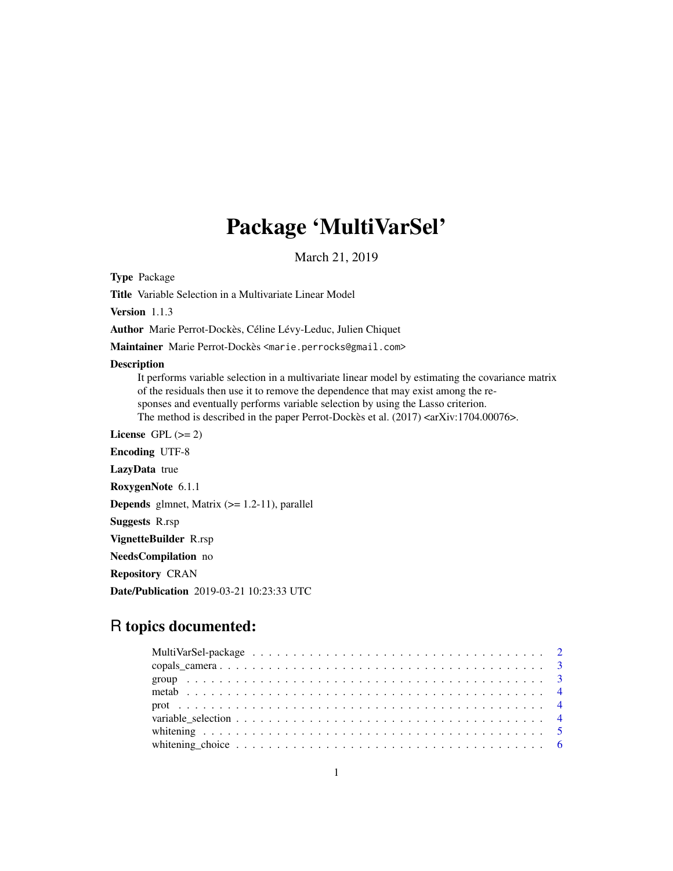## Package 'MultiVarSel'

March 21, 2019

Type Package

Title Variable Selection in a Multivariate Linear Model

Version 1.1.3

Author Marie Perrot-Dockès, Céline Lévy-Leduc, Julien Chiquet

Maintainer Marie Perrot-Dockès <marie.perrocks@gmail.com>

#### Description

It performs variable selection in a multivariate linear model by estimating the covariance matrix of the residuals then use it to remove the dependence that may exist among the responses and eventually performs variable selection by using the Lasso criterion. The method is described in the paper Perrot-Dockès et al. (2017) <arXiv:1704.00076>.

License GPL  $(>= 2)$ Encoding UTF-8 LazyData true RoxygenNote 6.1.1 **Depends** glmnet, Matrix  $(>= 1.2-11)$ , parallel Suggests R.rsp VignetteBuilder R.rsp NeedsCompilation no Repository CRAN

Date/Publication 2019-03-21 10:23:33 UTC

## R topics documented:

| whitening choice $\ldots \ldots \ldots \ldots \ldots \ldots \ldots \ldots \ldots \ldots \ldots \ldots$ |  |
|--------------------------------------------------------------------------------------------------------|--|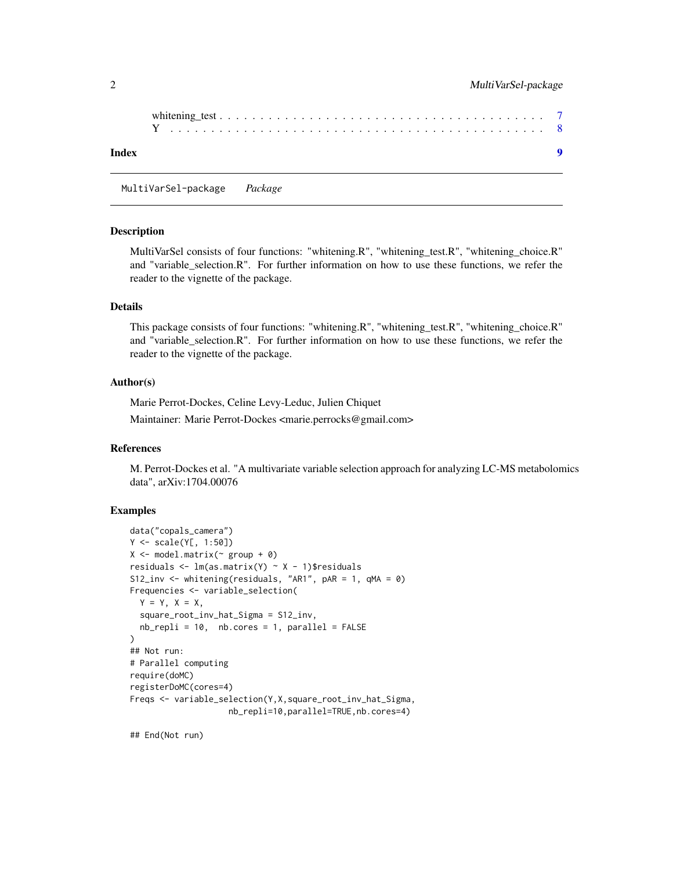<span id="page-1-0"></span>

| Index |  |
|-------|--|
|       |  |

MultiVarSel-package *Package*

#### **Description**

MultiVarSel consists of four functions: "whitening.R", "whitening\_test.R", "whitening\_choice.R" and "variable\_selection.R". For further information on how to use these functions, we refer the reader to the vignette of the package.

#### Details

This package consists of four functions: "whitening.R", "whitening\_test.R", "whitening\_choice.R" and "variable\_selection.R". For further information on how to use these functions, we refer the reader to the vignette of the package.

#### Author(s)

Marie Perrot-Dockes, Celine Levy-Leduc, Julien Chiquet Maintainer: Marie Perrot-Dockes <marie.perrocks@gmail.com>

#### References

M. Perrot-Dockes et al. "A multivariate variable selection approach for analyzing LC-MS metabolomics data", arXiv:1704.00076

#### Examples

```
data("copals_camera")
Y <- scale(Y[, 1:50])
X \leftarrow \text{model_matrix}(\sim \text{group} + \emptyset)residuals <- lm(as.matrix(Y) ~ X - 1)$residuals
S12_inv <- whitening(residuals, "AR1", pAR = 1, qMA = 0)
Frequencies <- variable_selection(
  Y = Y, X = X,
  square_root_inv_hat_Sigma = S12_inv,
  nb_{\text{rep}}li = 10, nb_{\text{cores}} = 1, pa_{\text{r}} = FALSE
)
## Not run:
# Parallel computing
require(doMC)
registerDoMC(cores=4)
Freqs <- variable_selection(Y,X,square_root_inv_hat_Sigma,
                      nb_repli=10,parallel=TRUE,nb.cores=4)
```
## End(Not run)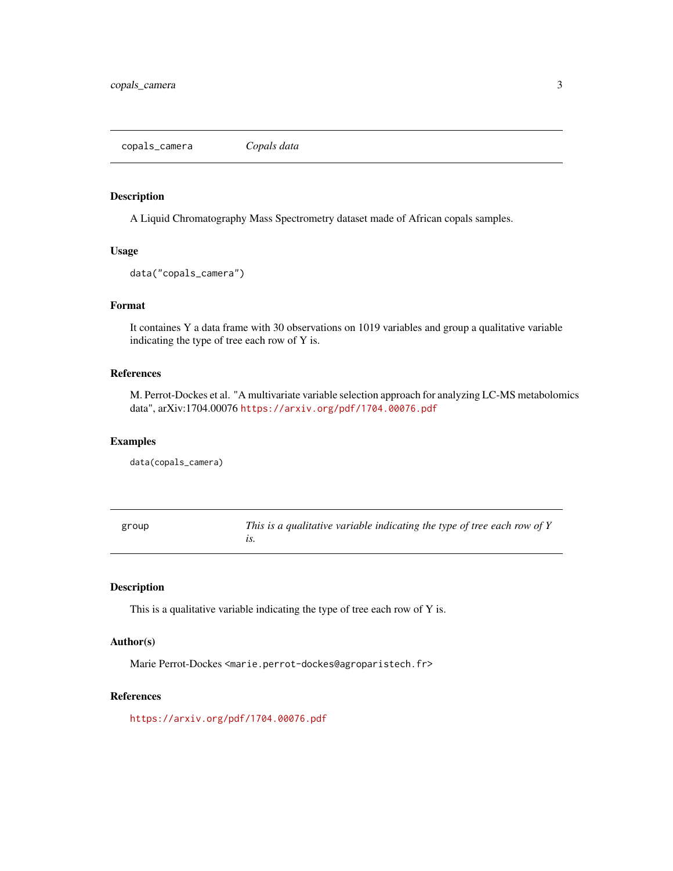<span id="page-2-0"></span>copals\_camera *Copals data*

#### Description

A Liquid Chromatography Mass Spectrometry dataset made of African copals samples.

#### Usage

```
data("copals_camera")
```
#### Format

It containes Y a data frame with 30 observations on 1019 variables and group a qualitative variable indicating the type of tree each row of Y is.

#### References

M. Perrot-Dockes et al. "A multivariate variable selection approach for analyzing LC-MS metabolomics data", arXiv:1704.00076 <https://arxiv.org/pdf/1704.00076.pdf>

#### Examples

data(copals\_camera)

| group | This is a qualitative variable indicating the type of tree each row of Y |
|-------|--------------------------------------------------------------------------|
|       |                                                                          |

#### Description

This is a qualitative variable indicating the type of tree each row of Y is.

#### Author(s)

Marie Perrot-Dockes <marie.perrot-dockes@agroparistech.fr>

#### References

<https://arxiv.org/pdf/1704.00076.pdf>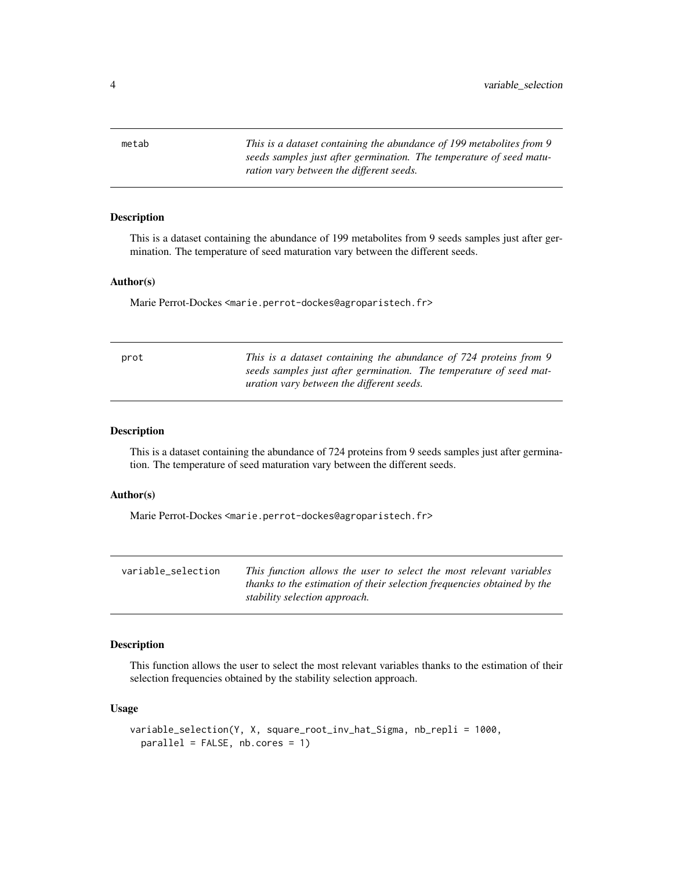<span id="page-3-0"></span>metab *This is a dataset containing the abundance of 199 metabolites from 9 seeds samples just after germination. The temperature of seed maturation vary between the different seeds.*

#### Description

This is a dataset containing the abundance of 199 metabolites from 9 seeds samples just after germination. The temperature of seed maturation vary between the different seeds.

#### Author(s)

Marie Perrot-Dockes <marie.perrot-dockes@agroparistech.fr>

| prot | This is a dataset containing the abundance of 724 proteins from 9  |
|------|--------------------------------------------------------------------|
|      | seeds samples just after germination. The temperature of seed mat- |
|      | <i>uration vary between the different seeds.</i>                   |

#### Description

This is a dataset containing the abundance of 724 proteins from 9 seeds samples just after germination. The temperature of seed maturation vary between the different seeds.

#### Author(s)

Marie Perrot-Dockes <marie.perrot-dockes@agroparistech.fr>

| variable_selection | This function allows the user to select the most relevant variables     |
|--------------------|-------------------------------------------------------------------------|
|                    | thanks to the estimation of their selection frequencies obtained by the |
|                    | stability selection approach.                                           |

#### Description

This function allows the user to select the most relevant variables thanks to the estimation of their selection frequencies obtained by the stability selection approach.

#### Usage

```
variable_selection(Y, X, square_root_inv_hat_Sigma, nb_repli = 1000,
 parallel = FALSE, nb.cores = 1)
```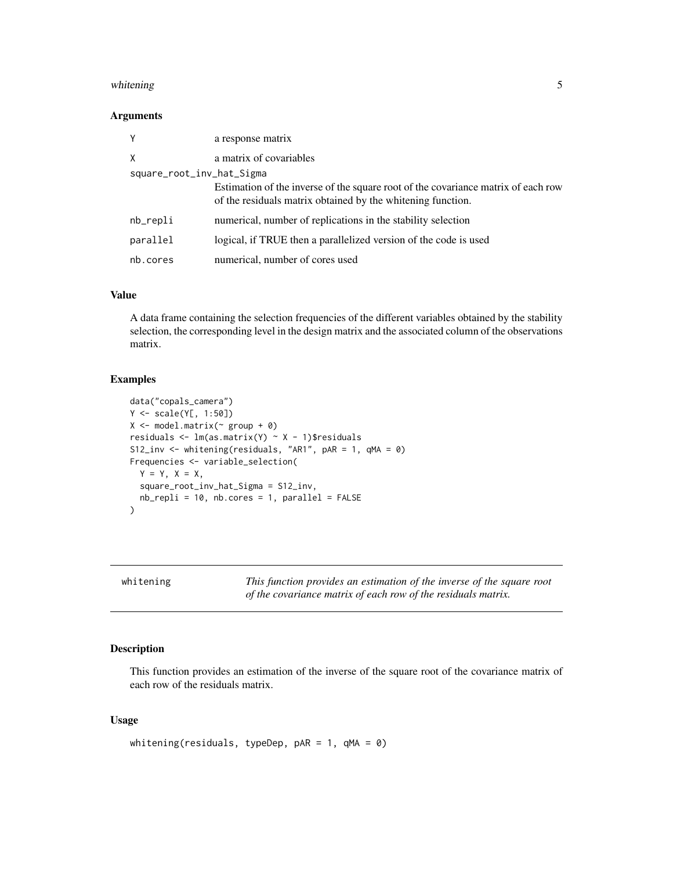#### <span id="page-4-0"></span>whitening 5

#### Arguments

| Y                         | a response matrix                                                                                                                                |
|---------------------------|--------------------------------------------------------------------------------------------------------------------------------------------------|
| X                         | a matrix of covariables                                                                                                                          |
| square_root_inv_hat_Sigma |                                                                                                                                                  |
|                           | Estimation of the inverse of the square root of the covariance matrix of each row<br>of the residuals matrix obtained by the whitening function. |
| nb_repli                  | numerical, number of replications in the stability selection                                                                                     |
| parallel                  | logical, if TRUE then a parallelized version of the code is used                                                                                 |
| nb.cores                  | numerical, number of cores used                                                                                                                  |

#### Value

A data frame containing the selection frequencies of the different variables obtained by the stability selection, the corresponding level in the design matrix and the associated column of the observations matrix.

#### Examples

```
data("copals_camera")
Y <- scale(Y[, 1:50])
X \leftarrow \text{model.matrix}(\sim \text{group} + \emptyset)residuals \leq lm(as.matrix(Y) \sim X - 1)$residuals
S12_inv <- whitening(residuals, "AR1", pAR = 1, qMA = 0)
Frequencies <- variable_selection(
  Y = Y, X = X,square_root_inv_hat_Sigma = S12_inv,
  nb_{\text{repli}} = 10, nb_{\text{cores}} = 1, parallel = FALSE\mathcal{L}
```
whitening *This function provides an estimation of the inverse of the square root of the covariance matrix of each row of the residuals matrix.*

#### Description

This function provides an estimation of the inverse of the square root of the covariance matrix of each row of the residuals matrix.

#### Usage

```
whitening(residuals, typeDep, pAR = 1, qMA = 0)
```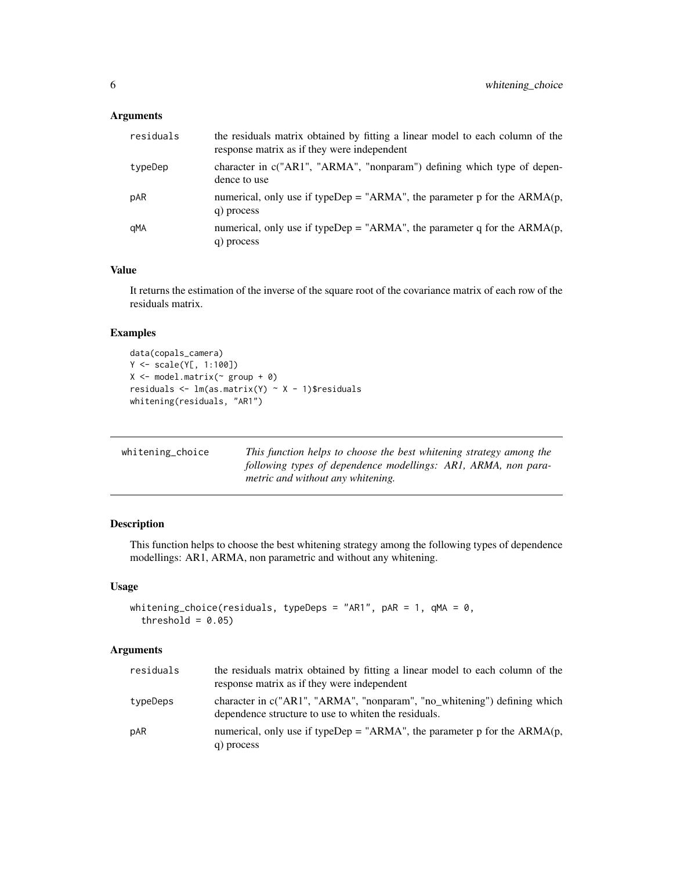#### <span id="page-5-0"></span>Arguments

| residuals | the residuals matrix obtained by fitting a linear model to each column of the<br>response matrix as if they were independent |
|-----------|------------------------------------------------------------------------------------------------------------------------------|
| typeDep   | character in $c("AR1", "ARMA", "nonparam")$ defining which type of depen-<br>dence to use                                    |
| pAR       | numerical, only use if typeDep = "ARMA", the parameter p for the $ARMA(p,$<br>q) process                                     |
| qMA       | numerical, only use if typeDep = "ARMA", the parameter q for the $ARMA(p,$<br>q) process                                     |

#### Value

It returns the estimation of the inverse of the square root of the covariance matrix of each row of the residuals matrix.

## Examples

```
data(copals_camera)
Y <- scale(Y[, 1:100])
X <- model.matrix(~ group + 0)
residuals <- lm(as.matrix(Y) ~ X - 1)$residuals
whitening(residuals, "AR1")
```

| whitening_choice | This function helps to choose the best whitening strategy among the |
|------------------|---------------------------------------------------------------------|
|                  | following types of dependence modellings: AR1, ARMA, non para-      |
|                  | metric and without any whitening.                                   |

### Description

This function helps to choose the best whitening strategy among the following types of dependence modellings: AR1, ARMA, non parametric and without any whitening.

#### Usage

```
whitening_choice(residuals, typeDeps = "AR1", pAR = 1, qMA = 0,
  threshold = 0.05)
```
#### Arguments

| residuals | the residuals matrix obtained by fitting a linear model to each column of the<br>response matrix as if they were independent     |
|-----------|----------------------------------------------------------------------------------------------------------------------------------|
| typeDeps  | character in c("AR1", "ARMA", "nonparam", "no_whitening") defining which<br>dependence structure to use to whiten the residuals. |
| pAR       | numerical, only use if typeDep = "ARMA", the parameter p for the $ARMA(p,$<br>q) process                                         |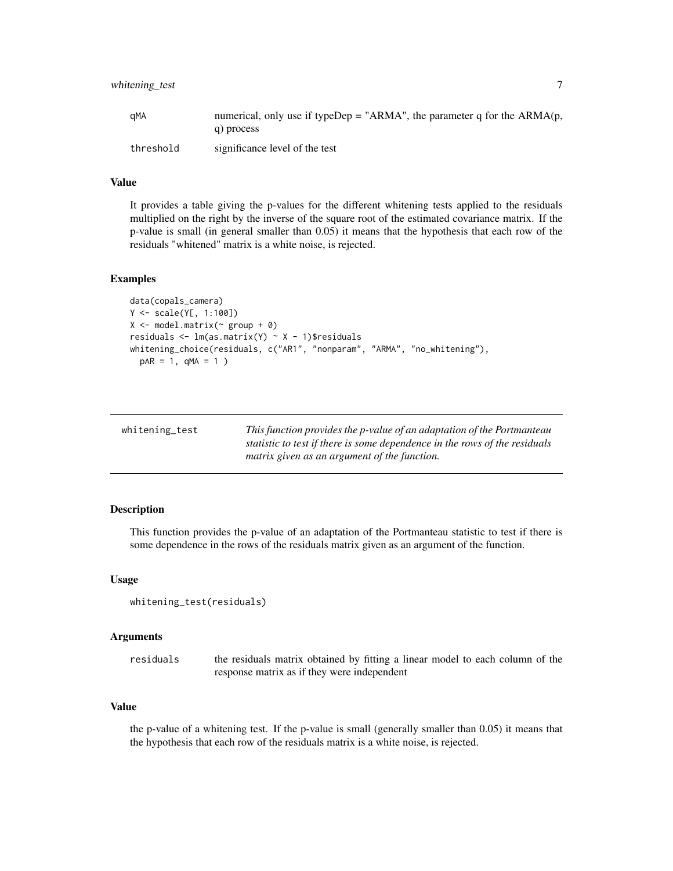<span id="page-6-0"></span>

| aMA       | numerical, only use if typeDep = "ARMA", the parameter q for the $ARMA(p,$ |
|-----------|----------------------------------------------------------------------------|
|           | q) process                                                                 |
| threshold | significance level of the test                                             |

#### Value

It provides a table giving the p-values for the different whitening tests applied to the residuals multiplied on the right by the inverse of the square root of the estimated covariance matrix. If the p-value is small (in general smaller than 0.05) it means that the hypothesis that each row of the residuals "whitened" matrix is a white noise, is rejected.

#### Examples

```
data(copals_camera)
Y <- scale(Y[, 1:100])
X <- model.matrix(~ group + 0)
residuals <- lm(as.matrix(Y) ~ X - 1)$residuals
whitening_choice(residuals, c("AR1", "nonparam", "ARMA", "no_whitening"),
  pAR = 1, qMA = 1)
```

| whitening_test | This function provides the p-value of an adaptation of the Portmanteau     |
|----------------|----------------------------------------------------------------------------|
|                | statistic to test if there is some dependence in the rows of the residuals |
|                | matrix given as an argument of the function.                               |
|                |                                                                            |

#### Description

This function provides the p-value of an adaptation of the Portmanteau statistic to test if there is some dependence in the rows of the residuals matrix given as an argument of the function.

#### Usage

```
whitening_test(residuals)
```
#### Arguments

residuals the residuals matrix obtained by fitting a linear model to each column of the response matrix as if they were independent

#### Value

the p-value of a whitening test. If the p-value is small (generally smaller than 0.05) it means that the hypothesis that each row of the residuals matrix is a white noise, is rejected.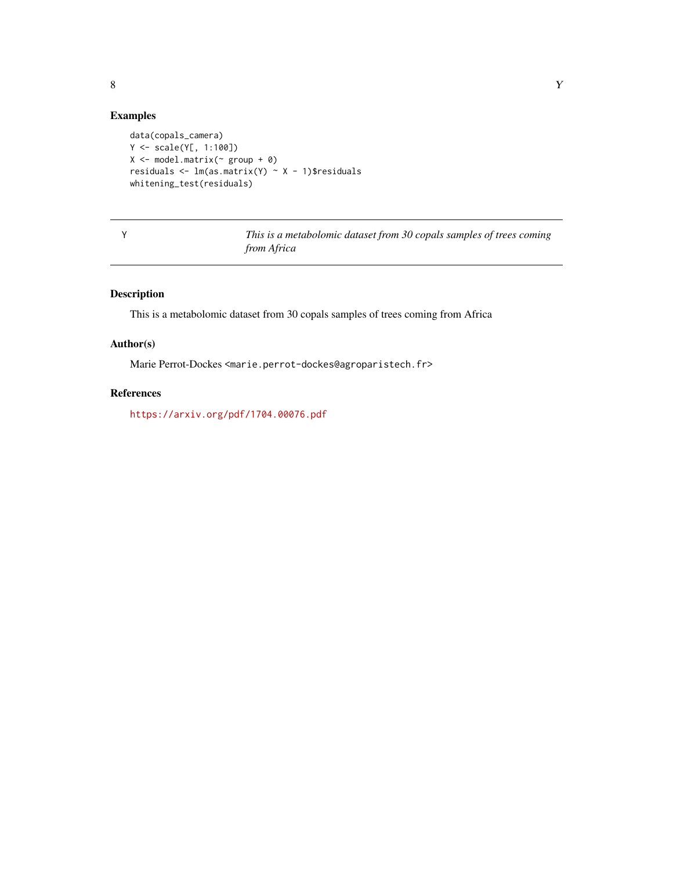## <span id="page-7-0"></span>Examples

```
data(copals_camera)
Y <- scale(Y[, 1:100])
X \leftarrow \text{model.matrix}(\sim \text{group} + \emptyset)residuals <- lm(as.matrix(Y) ~ X - 1)$residuals
whitening_test(residuals)
```

Y *This is a metabolomic dataset from 30 copals samples of trees coming from Africa*

#### Description

This is a metabolomic dataset from 30 copals samples of trees coming from Africa

#### Author(s)

Marie Perrot-Dockes <marie.perrot-dockes@agroparistech.fr>

## References

<https://arxiv.org/pdf/1704.00076.pdf>